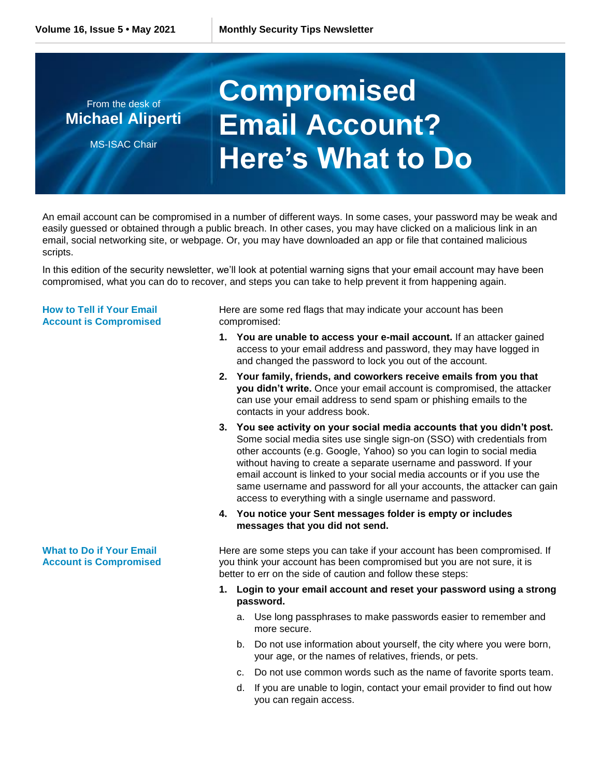## From the desk of **Michael Aliperti** MS-ISAC Chair **Compromised Email Account? Here's What to Do**

An email account can be compromised in a number of different ways. In some cases, your password may be weak and easily guessed or obtained through a public breach. In other cases, you may have clicked on a malicious link in an email, social networking site, or webpage. Or, you may have downloaded an app or file that contained malicious scripts.

In this edition of the security newsletter, we'll look at potential warning signs that your email account may have been compromised, what you can do to recover, and steps you can take to help prevent it from happening again.

## **How to Tell if Your Email Account is Compromised**

Here are some red flags that may indicate your account has been compromised:

- **1. You are unable to access your e-mail account.** If an attacker gained access to your email address and password, they may have logged in and changed the password to lock you out of the account.
- **2. Your family, friends, and coworkers receive emails from you that you didn't write.** Once your email account is compromised, the attacker can use your email address to send spam or phishing emails to the contacts in your address book.
- **3. You see activity on your social media accounts that you didn't post.** Some social media sites use single sign-on (SSO) with credentials from other accounts (e.g. Google, Yahoo) so you can login to social media without having to create a separate username and password. If your email account is linked to your social media accounts or if you use the same username and password for all your accounts, the attacker can gain access to everything with a single username and password.
- **4. You notice your Sent messages folder is empty or includes messages that you did not send.**

Here are some steps you can take if your account has been compromised. If you think your account has been compromised but you are not sure, it is better to err on the side of caution and follow these steps:

- **1. Login to your email account and reset your password using a strong password.**
	- a. Use long passphrases to make passwords easier to remember and more secure.
	- b. Do not use information about yourself, the city where you were born, your age, or the names of relatives, friends, or pets.
	- c. Do not use common words such as the name of favorite sports team.
	- d. If you are unable to login, contact your email provider to find out how you can regain access.

## **What to Do if Your Email Account is Compromised**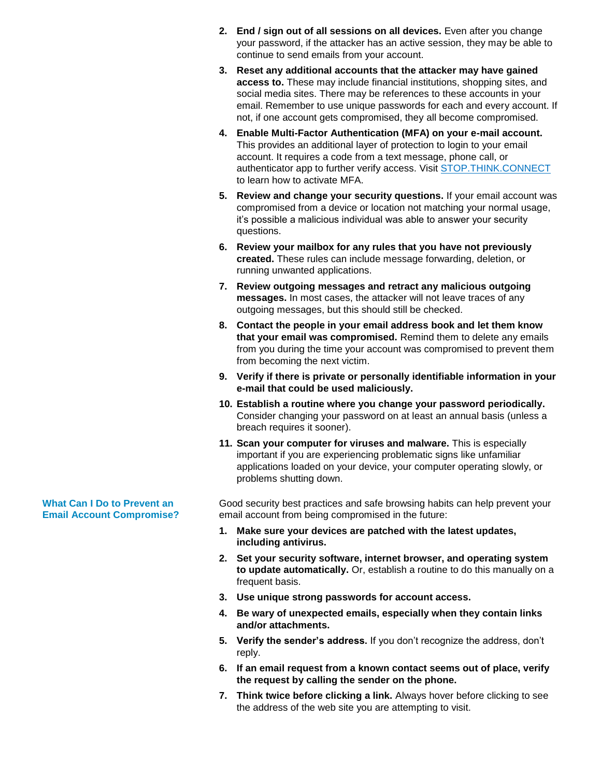- **2. End / sign out of all sessions on all devices.** Even after you change your password, if the attacker has an active session, they may be able to continue to send emails from your account.
- **3. Reset any additional accounts that the attacker may have gained access to.** These may include financial institutions, shopping sites, and social media sites. There may be references to these accounts in your email. Remember to use unique passwords for each and every account. If not, if one account gets compromised, they all become compromised.
- **4. Enable Multi-Factor Authentication (MFA) on your e-mail account.** This provides an additional layer of protection to login to your email account. It requires a code from a text message, phone call, or authenticator app to further verify access. Visit [STOP.THINK.CONNECT](https://stopthinkconnect.org/campaigns/lock-down-your-login) to learn how to activate MFA.
- **5. Review and change your security questions.** If your email account was compromised from a device or location not matching your normal usage, it's possible a malicious individual was able to answer your security questions.
- **6. Review your mailbox for any rules that you have not previously created.** These rules can include message forwarding, deletion, or running unwanted applications.
- **7. Review outgoing messages and retract any malicious outgoing messages.** In most cases, the attacker will not leave traces of any outgoing messages, but this should still be checked.
- **8. Contact the people in your email address book and let them know that your email was compromised.** Remind them to delete any emails from you during the time your account was compromised to prevent them from becoming the next victim.
- **9. Verify if there is private or personally identifiable information in your e-mail that could be used maliciously.**
- **10. Establish a routine where you change your password periodically.** Consider changing your password on at least an annual basis (unless a breach requires it sooner).
- **11. Scan your computer for viruses and malware.** This is especially important if you are experiencing problematic signs like unfamiliar applications loaded on your device, your computer operating slowly, or problems shutting down.

Good security best practices and safe browsing habits can help prevent your email account from being compromised in the future:

- **1. Make sure your devices are patched with the latest updates, including antivirus.**
- **2. Set your security software, internet browser, and operating system to update automatically.** Or, establish a routine to do this manually on a frequent basis.
- **3. Use unique strong passwords for account access.**
- **4. Be wary of unexpected emails, especially when they contain links and/or attachments.**
- **5. Verify the sender's address.** If you don't recognize the address, don't reply.
- **6. If an email request from a known contact seems out of place, verify the request by calling the sender on the phone.**
- **7. Think twice before clicking a link.** Always hover before clicking to see the address of the web site you are attempting to visit.

**What Can I Do to Prevent an Email Account Compromise?**